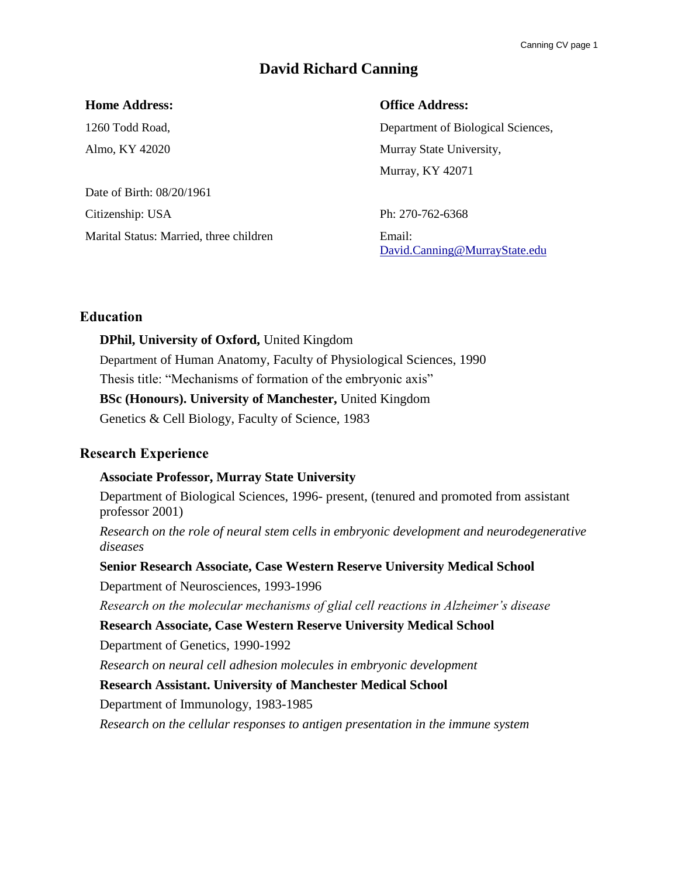# **David Richard Canning**

#### **Home Address:**

1260 Todd Road, Almo, KY 42020

Date of Birth: 08/20/1961 Citizenship: USA Marital Status: Married, three children **Office Address:**

Department of Biological Sciences, Murray State University, Murray, KY 42071

Ph: 270-762-6368 Email: [David.Canning@MurrayState.edu](mailto:David.Canning@MurrayState.edu)

### **Education**

**DPhil, University of Oxford,** United Kingdom Department of Human Anatomy, Faculty of Physiological Sciences, 1990 Thesis title: "Mechanisms of formation of the embryonic axis" **BSc (Honours). University of Manchester,** United Kingdom Genetics & Cell Biology, Faculty of Science, 1983

# **Research Experience**

### **Associate Professor, Murray State University**

Department of Biological Sciences, 1996- present, (tenured and promoted from assistant professor 2001)

*Research on the role of neural stem cells in embryonic development and neurodegenerative diseases*

**Senior Research Associate, Case Western Reserve University Medical School**

Department of Neurosciences, 1993-1996

*Research on the molecular mechanisms of glial cell reactions in Alzheimer's disease*

**Research Associate, Case Western Reserve University Medical School**

Department of Genetics, 1990-1992

*Research on neural cell adhesion molecules in embryonic development*

**Research Assistant. University of Manchester Medical School**

Department of Immunology, 1983-1985

*Research on the cellular responses to antigen presentation in the immune system*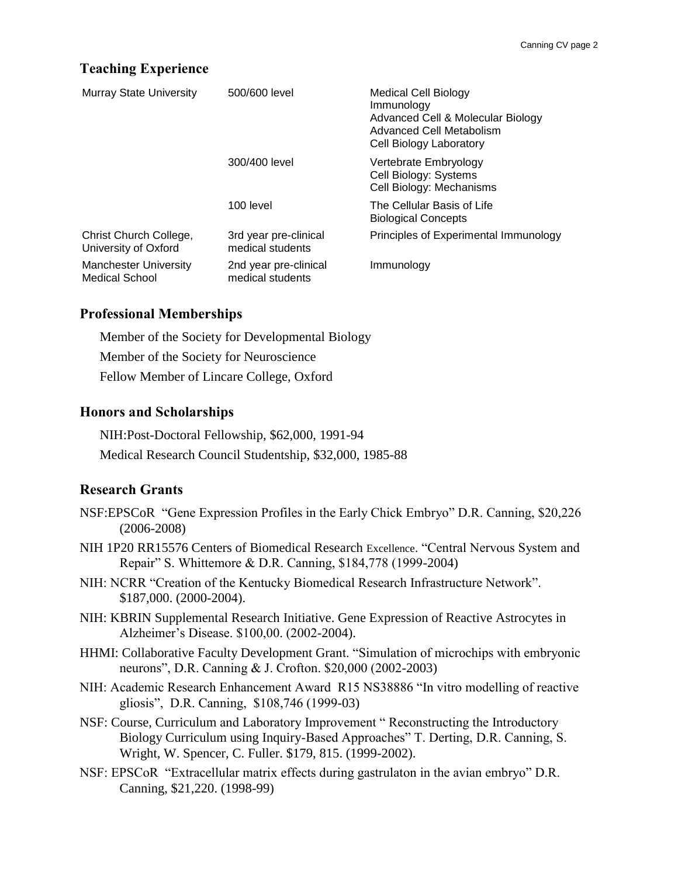# **Teaching Experience**

| <b>Murray State University</b>                 | 500/600 level                             | Medical Cell Biology<br>Immunology<br>Advanced Cell & Molecular Biology<br>Advanced Cell Metabolism<br>Cell Biology Laboratory |
|------------------------------------------------|-------------------------------------------|--------------------------------------------------------------------------------------------------------------------------------|
|                                                | 300/400 level                             | Vertebrate Embryology<br>Cell Biology: Systems<br>Cell Biology: Mechanisms                                                     |
|                                                | 100 level                                 | The Cellular Basis of Life<br><b>Biological Concepts</b>                                                                       |
| Christ Church College,<br>University of Oxford | 3rd year pre-clinical<br>medical students | Principles of Experimental Immunology                                                                                          |
| <b>Manchester University</b><br>Medical School | 2nd year pre-clinical<br>medical students | Immunology                                                                                                                     |

#### **Professional Memberships**

Member of the Society for Developmental Biology Member of the Society for Neuroscience Fellow Member of Lincare College, Oxford

#### **Honors and Scholarships**

NIH:Post-Doctoral Fellowship, \$62,000, 1991-94 Medical Research Council Studentship, \$32,000, 1985-88

### **Research Grants**

- NSF:EPSCoR "Gene Expression Profiles in the Early Chick Embryo" D.R. Canning, \$20,226 (2006-2008)
- NIH 1P20 RR15576 Centers of Biomedical Research Excellence. "Central Nervous System and Repair" S. Whittemore & D.R. Canning, \$184,778 (1999-2004)
- NIH: NCRR "Creation of the Kentucky Biomedical Research Infrastructure Network". \$187,000. (2000-2004).
- NIH: KBRIN Supplemental Research Initiative. Gene Expression of Reactive Astrocytes in Alzheimer's Disease. \$100,00. (2002-2004).
- HHMI: Collaborative Faculty Development Grant. "Simulation of microchips with embryonic neurons", D.R. Canning & J. Crofton. \$20,000 (2002-2003)
- NIH: Academic Research Enhancement Award R15 NS38886 "In vitro modelling of reactive gliosis", D.R. Canning, \$108,746 (1999-03)
- NSF: Course, Curriculum and Laboratory Improvement " Reconstructing the Introductory Biology Curriculum using Inquiry-Based Approaches" T. Derting, D.R. Canning, S. Wright, W. Spencer, C. Fuller. \$179, 815. (1999-2002).
- NSF: EPSCoR "Extracellular matrix effects during gastrulaton in the avian embryo" D.R. Canning, \$21,220. (1998-99)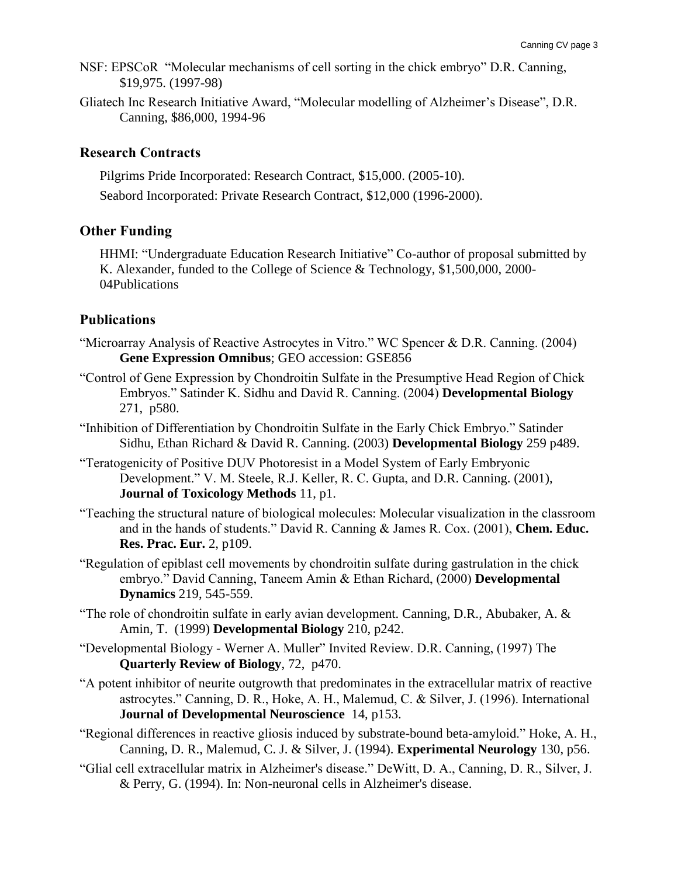- NSF: EPSCoR "Molecular mechanisms of cell sorting in the chick embryo" D.R. Canning, \$19,975. (1997-98)
- Gliatech Inc Research Initiative Award, "Molecular modelling of Alzheimer's Disease", D.R. Canning, \$86,000, 1994-96

### **Research Contracts**

Pilgrims Pride Incorporated: Research Contract, \$15,000. (2005-10). Seabord Incorporated: Private Research Contract, \$12,000 (1996-2000).

### **Other Funding**

HHMI: "Undergraduate Education Research Initiative" Co-author of proposal submitted by K. Alexander, funded to the College of Science & Technology, \$1,500,000, 2000- 04Publications

### **Publications**

- "Microarray Analysis of Reactive Astrocytes in Vitro." WC Spencer & D.R. Canning. (2004) **Gene Expression Omnibus**; GEO accession: GSE856
- "Control of Gene Expression by Chondroitin Sulfate in the Presumptive Head Region of Chick Embryos." Satinder K. Sidhu and David R. Canning. (2004) **Developmental Biology** 271, p580.
- "Inhibition of Differentiation by Chondroitin Sulfate in the Early Chick Embryo." Satinder Sidhu, Ethan Richard & David R. Canning. (2003) **Developmental Biology** 259 p489.
- "Teratogenicity of Positive DUV Photoresist in a Model System of Early Embryonic Development." V. M. Steele, R.J. Keller, R. C. Gupta, and D.R. Canning. (2001), **Journal of Toxicology Methods** 11, p1.
- "Teaching the structural nature of biological molecules: Molecular visualization in the classroom and in the hands of students." David R. Canning & James R. Cox. (2001), **Chem. Educ. Res. Prac. Eur.** 2, p109.
- "Regulation of epiblast cell movements by chondroitin sulfate during gastrulation in the chick embryo." David Canning, Taneem Amin & Ethan Richard, (2000) **Developmental Dynamics** 219, 545-559.
- "The role of chondroitin sulfate in early avian development. Canning, D.R., Abubaker, A. & Amin, T. (1999) **Developmental Biology** 210, p242.
- "Developmental Biology Werner A. Muller" Invited Review. D.R. Canning, (1997) The **Quarterly Review of Biology**, 72, p470.
- "A potent inhibitor of neurite outgrowth that predominates in the extracellular matrix of reactive astrocytes." Canning, D. R., Hoke, A. H., Malemud, C. & Silver, J. (1996). International **Journal of Developmental Neuroscience** 14, p153.
- "Regional differences in reactive gliosis induced by substrate-bound beta-amyloid." Hoke, A. H., Canning, D. R., Malemud, C. J. & Silver, J. (1994). **Experimental Neurology** 130, p56.
- "Glial cell extracellular matrix in Alzheimer's disease." DeWitt, D. A., Canning, D. R., Silver, J. & Perry, G. (1994). In: Non-neuronal cells in Alzheimer's disease.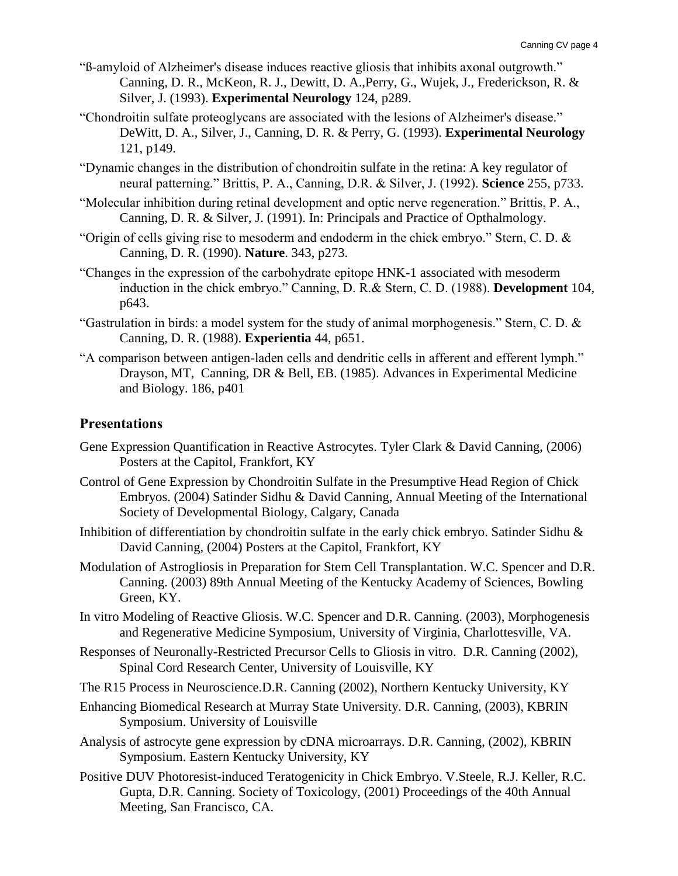- "ß-amyloid of Alzheimer's disease induces reactive gliosis that inhibits axonal outgrowth." Canning, D. R., McKeon, R. J., Dewitt, D. A.,Perry, G., Wujek, J., Frederickson, R. & Silver, J. (1993). **Experimental Neurology** 124, p289.
- "Chondroitin sulfate proteoglycans are associated with the lesions of Alzheimer's disease." DeWitt, D. A., Silver, J., Canning, D. R. & Perry, G. (1993). **Experimental Neurology** 121, p149.
- "Dynamic changes in the distribution of chondroitin sulfate in the retina: A key regulator of neural patterning." Brittis, P. A., Canning, D.R. & Silver, J. (1992). **Science** 255, p733.
- "Molecular inhibition during retinal development and optic nerve regeneration." Brittis, P. A., Canning, D. R. & Silver, J. (1991). In: Principals and Practice of Opthalmology.
- "Origin of cells giving rise to mesoderm and endoderm in the chick embryo." Stern, C. D. & Canning, D. R. (1990). **Nature**. 343, p273.
- "Changes in the expression of the carbohydrate epitope HNK-1 associated with mesoderm induction in the chick embryo." Canning, D. R.& Stern, C. D. (1988). **Development** 104, p643.
- "Gastrulation in birds: a model system for the study of animal morphogenesis." Stern, C. D. & Canning, D. R. (1988). **Experientia** 44, p651.
- "A comparison between antigen-laden cells and dendritic cells in afferent and efferent lymph." Drayson, MT, Canning, DR & Bell, EB. (1985). Advances in Experimental Medicine and Biology. 186, p401

### **Presentations**

- Gene Expression Quantification in Reactive Astrocytes. Tyler Clark & David Canning, (2006) Posters at the Capitol, Frankfort, KY
- Control of Gene Expression by Chondroitin Sulfate in the Presumptive Head Region of Chick Embryos. (2004) Satinder Sidhu & David Canning, Annual Meeting of the International Society of Developmental Biology, Calgary, Canada
- Inhibition of differentiation by chondroitin sulfate in the early chick embryo. Satinder Sidhu & David Canning, (2004) Posters at the Capitol, Frankfort, KY
- Modulation of Astrogliosis in Preparation for Stem Cell Transplantation. W.C. Spencer and D.R. Canning. (2003) 89th Annual Meeting of the Kentucky Academy of Sciences, Bowling Green, KY.
- In vitro Modeling of Reactive Gliosis. W.C. Spencer and D.R. Canning. (2003), Morphogenesis and Regenerative Medicine Symposium, University of Virginia, Charlottesville, VA.
- Responses of Neuronally-Restricted Precursor Cells to Gliosis in vitro. D.R. Canning (2002), Spinal Cord Research Center, University of Louisville, KY

The R15 Process in Neuroscience.D.R. Canning (2002), Northern Kentucky University, KY

- Enhancing Biomedical Research at Murray State University. D.R. Canning, (2003), KBRIN Symposium. University of Louisville
- Analysis of astrocyte gene expression by cDNA microarrays. D.R. Canning, (2002), KBRIN Symposium. Eastern Kentucky University, KY
- Positive DUV Photoresist-induced Teratogenicity in Chick Embryo. V.Steele, R.J. Keller, R.C. Gupta, D.R. Canning. Society of Toxicology, (2001) Proceedings of the 40th Annual Meeting, San Francisco, CA.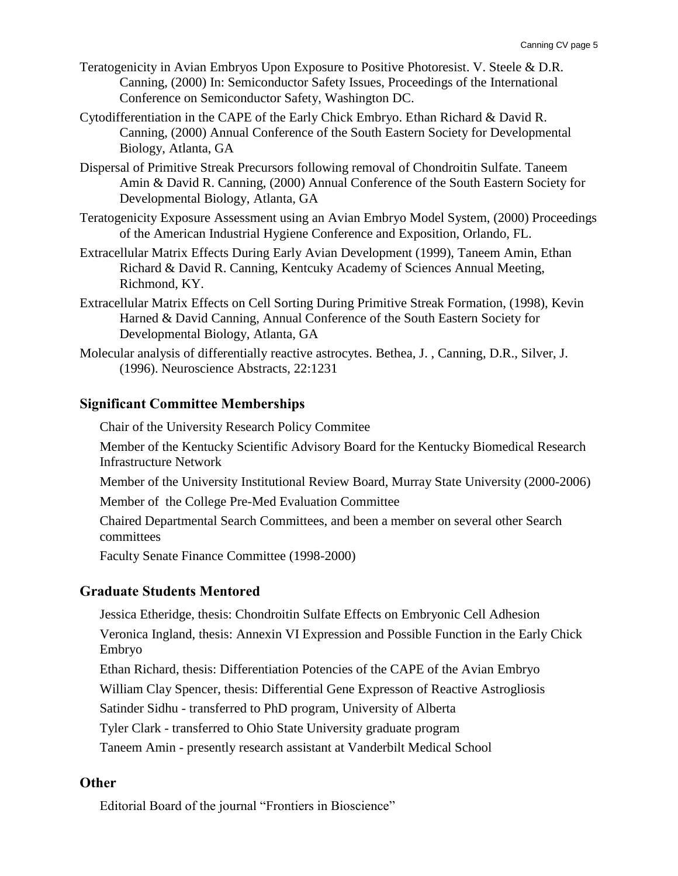- Teratogenicity in Avian Embryos Upon Exposure to Positive Photoresist. V. Steele & D.R. Canning, (2000) In: Semiconductor Safety Issues, Proceedings of the International Conference on Semiconductor Safety, Washington DC.
- Cytodifferentiation in the CAPE of the Early Chick Embryo. Ethan Richard & David R. Canning, (2000) Annual Conference of the South Eastern Society for Developmental Biology, Atlanta, GA
- Dispersal of Primitive Streak Precursors following removal of Chondroitin Sulfate. Taneem Amin & David R. Canning, (2000) Annual Conference of the South Eastern Society for Developmental Biology, Atlanta, GA
- Teratogenicity Exposure Assessment using an Avian Embryo Model System, (2000) Proceedings of the American Industrial Hygiene Conference and Exposition, Orlando, FL.
- Extracellular Matrix Effects During Early Avian Development (1999), Taneem Amin, Ethan Richard & David R. Canning, Kentcuky Academy of Sciences Annual Meeting, Richmond, KY.
- Extracellular Matrix Effects on Cell Sorting During Primitive Streak Formation, (1998), Kevin Harned & David Canning, Annual Conference of the South Eastern Society for Developmental Biology, Atlanta, GA
- Molecular analysis of differentially reactive astrocytes. Bethea, J. , Canning, D.R., Silver, J. (1996). Neuroscience Abstracts, 22:1231

# **Significant Committee Memberships**

Chair of the University Research Policy Commitee

Member of the Kentucky Scientific Advisory Board for the Kentucky Biomedical Research Infrastructure Network

Member of the University Institutional Review Board, Murray State University (2000-2006)

Member of the College Pre-Med Evaluation Committee

Chaired Departmental Search Committees, and been a member on several other Search committees

Faculty Senate Finance Committee (1998-2000)

# **Graduate Students Mentored**

Jessica Etheridge, thesis: Chondroitin Sulfate Effects on Embryonic Cell Adhesion

Veronica Ingland, thesis: Annexin VI Expression and Possible Function in the Early Chick Embryo

Ethan Richard, thesis: Differentiation Potencies of the CAPE of the Avian Embryo

William Clay Spencer, thesis: Differential Gene Expresson of Reactive Astrogliosis

Satinder Sidhu - transferred to PhD program, University of Alberta

Tyler Clark - transferred to Ohio State University graduate program

Taneem Amin - presently research assistant at Vanderbilt Medical School

# **Other**

Editorial Board of the journal "Frontiers in Bioscience"